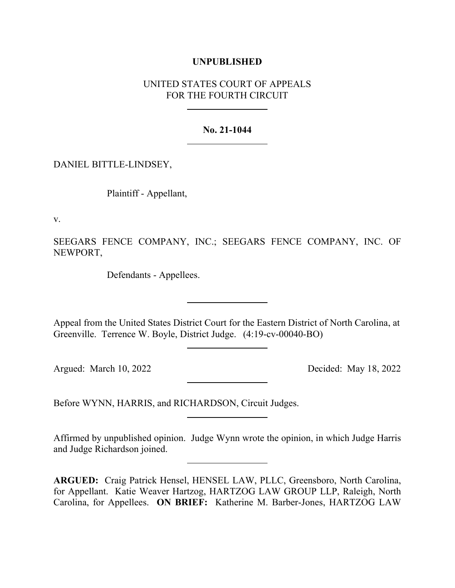# **UNPUBLISHED**

# UNITED STATES COURT OF APPEALS FOR THE FOURTH CIRCUIT

## **No. 21-1044**

DANIEL BITTLE-LINDSEY,

Plaintiff - Appellant,

v.

SEEGARS FENCE COMPANY, INC.; SEEGARS FENCE COMPANY, INC. OF NEWPORT,

Defendants - Appellees.

Appeal from the United States District Court for the Eastern District of North Carolina, at Greenville. Terrence W. Boyle, District Judge. (4:19-cv-00040-BO)

Argued: March 10, 2022 Decided: May 18, 2022

Before WYNN, HARRIS, and RICHARDSON, Circuit Judges.

Affirmed by unpublished opinion. Judge Wynn wrote the opinion, in which Judge Harris and Judge Richardson joined.

**ARGUED:** Craig Patrick Hensel, HENSEL LAW, PLLC, Greensboro, North Carolina, for Appellant. Katie Weaver Hartzog, HARTZOG LAW GROUP LLP, Raleigh, North Carolina, for Appellees. **ON BRIEF:** Katherine M. Barber-Jones, HARTZOG LAW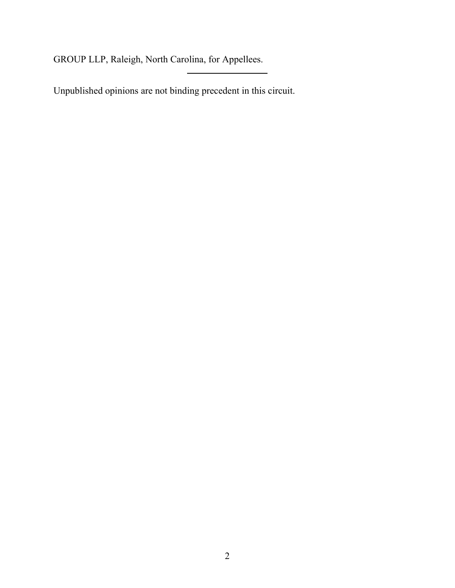GROUP LLP, Raleigh, North Carolina, for Appellees.

Unpublished opinions are not binding precedent in this circuit.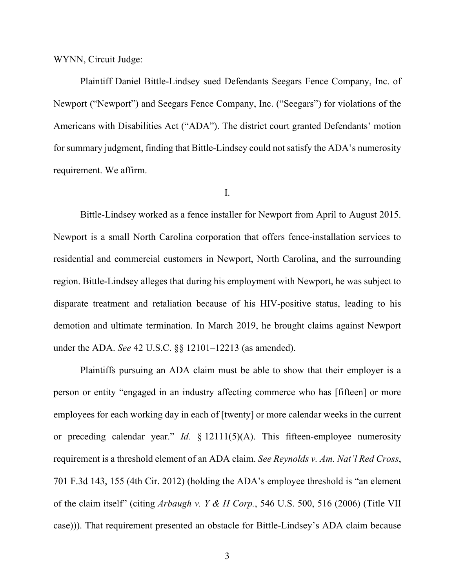WYNN, Circuit Judge:

Plaintiff Daniel Bittle-Lindsey sued Defendants Seegars Fence Company, Inc. of Newport ("Newport") and Seegars Fence Company, Inc. ("Seegars") for violations of the Americans with Disabilities Act ("ADA"). The district court granted Defendants' motion for summary judgment, finding that Bittle-Lindsey could not satisfy the ADA's numerosity requirement. We affirm.

## I.

Bittle-Lindsey worked as a fence installer for Newport from April to August 2015. Newport is a small North Carolina corporation that offers fence-installation services to residential and commercial customers in Newport, North Carolina, and the surrounding region. Bittle-Lindsey alleges that during his employment with Newport, he was subject to disparate treatment and retaliation because of his HIV-positive status, leading to his demotion and ultimate termination. In March 2019, he brought claims against Newport under the ADA. *See* 42 U.S.C. §§ 12101–12213 (as amended).

Plaintiffs pursuing an ADA claim must be able to show that their employer is a person or entity "engaged in an industry affecting commerce who has [fifteen] or more employees for each working day in each of [twenty] or more calendar weeks in the current or preceding calendar year." *Id.* § 12111(5)(A). This fifteen-employee numerosity requirement is a threshold element of an ADA claim. *See Reynolds v. Am. Nat'l Red Cross*, 701 F.3d 143, 155 (4th Cir. 2012) (holding the ADA's employee threshold is "an element of the claim itself" (citing *Arbaugh v. Y & H Corp.*, 546 U.S. 500, 516 (2006) (Title VII case))). That requirement presented an obstacle for Bittle-Lindsey's ADA claim because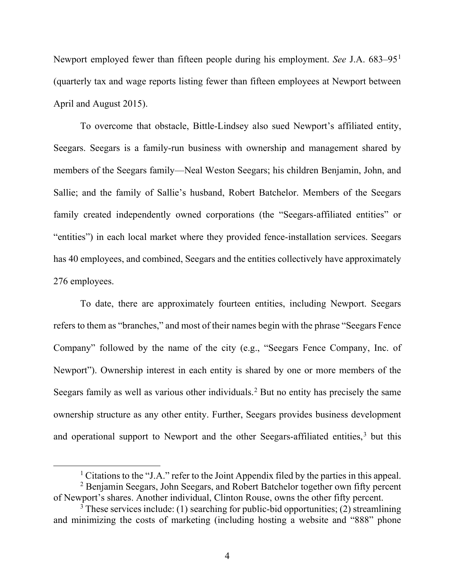Newport employed fewer than fifteen people during his employment. *See* J.A. 683–95[1](#page-3-0) (quarterly tax and wage reports listing fewer than fifteen employees at Newport between April and August 2015).

To overcome that obstacle, Bittle-Lindsey also sued Newport's affiliated entity, Seegars. Seegars is a family-run business with ownership and management shared by members of the Seegars family—Neal Weston Seegars; his children Benjamin, John, and Sallie; and the family of Sallie's husband, Robert Batchelor. Members of the Seegars family created independently owned corporations (the "Seegars-affiliated entities" or "entities") in each local market where they provided fence-installation services. Seegars has 40 employees, and combined, Seegars and the entities collectively have approximately 276 employees.

To date, there are approximately fourteen entities, including Newport. Seegars refers to them as "branches," and most of their names begin with the phrase "Seegars Fence Company" followed by the name of the city (e.g., "Seegars Fence Company, Inc. of Newport"). Ownership interest in each entity is shared by one or more members of the Seegars family as well as various other individuals.<sup>[2](#page-3-1)</sup> But no entity has precisely the same ownership structure as any other entity. Further, Seegars provides business development and operational support to Newport and the other Seegars-affiliated entities, [3](#page-3-2) but this

<sup>&</sup>lt;sup>1</sup> Citations to the "J.A." refer to the Joint Appendix filed by the parties in this appeal. <sup>2</sup> Benjamin Seegars, John Seegars, and Robert Batchelor together own fifty percent

<span id="page-3-1"></span><span id="page-3-0"></span>of Newport's shares. Another individual, Clinton Rouse, owns the other fifty percent.

<span id="page-3-2"></span> $3$  These services include: (1) searching for public-bid opportunities; (2) streamlining and minimizing the costs of marketing (including hosting a website and "888" phone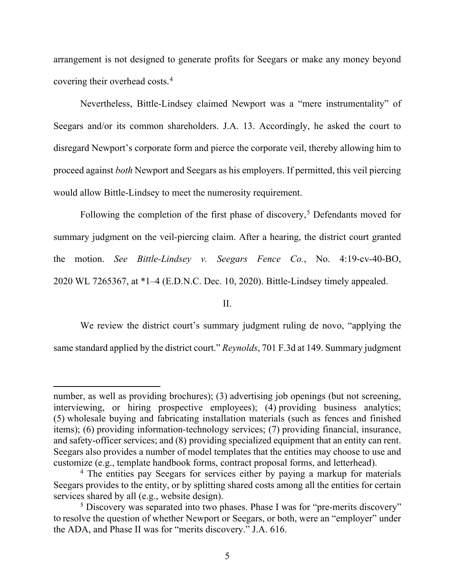arrangement is not designed to generate profits for Seegars or make any money beyond covering their overhead costs.[4](#page-4-0)

Nevertheless, Bittle-Lindsey claimed Newport was a "mere instrumentality" of Seegars and/or its common shareholders. J.A. 13. Accordingly, he asked the court to disregard Newport's corporate form and pierce the corporate veil, thereby allowing him to proceed against *both* Newport and Seegars as his employers. If permitted, this veil piercing would allow Bittle-Lindsey to meet the numerosity requirement.

Following the completion of the first phase of discovery, [5](#page-4-1) Defendants moved for summary judgment on the veil-piercing claim. After a hearing, the district court granted the motion. *See Bittle-Lindsey v. Seegars Fence Co.*, No. 4:19-cv-40-BO, 2020 WL 7265367, at \*1–4 (E.D.N.C. Dec. 10, 2020). Bittle-Lindsey timely appealed.

#### II.

We review the district court's summary judgment ruling de novo, "applying the same standard applied by the district court." *Reynolds*, 701 F.3d at 149. Summary judgment

number, as well as providing brochures); (3) advertising job openings (but not screening, interviewing, or hiring prospective employees); (4) providing business analytics; (5) wholesale buying and fabricating installation materials (such as fences and finished items); (6) providing information-technology services; (7) providing financial, insurance, and safety-officer services; and (8) providing specialized equipment that an entity can rent. Seegars also provides a number of model templates that the entities may choose to use and customize (e.g., template handbook forms, contract proposal forms, and letterhead).

<span id="page-4-0"></span><sup>&</sup>lt;sup>4</sup> The entities pay Seegars for services either by paying a markup for materials Seegars provides to the entity, or by splitting shared costs among all the entities for certain services shared by all (e.g., website design).

<span id="page-4-1"></span><sup>&</sup>lt;sup>5</sup> Discovery was separated into two phases. Phase I was for "pre-merits discovery" to resolve the question of whether Newport or Seegars, or both, were an "employer" under the ADA, and Phase II was for "merits discovery." J.A. 616.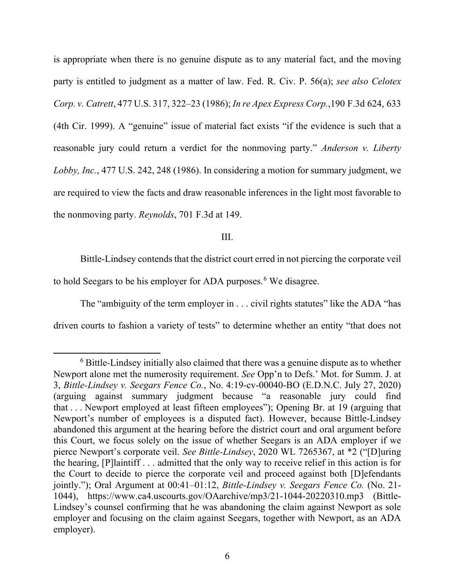is appropriate when there is no genuine dispute as to any material fact, and the moving party is entitled to judgment as a matter of law. Fed. R. Civ. P. 56(a); *see also Celotex Corp. v. Catrett*, 477 U.S. 317, 322–23 (1986); *In re Apex Express Corp.*,190 F.3d 624, 633 (4th Cir. 1999). A "genuine" issue of material fact exists "if the evidence is such that a reasonable jury could return a verdict for the nonmoving party." *Anderson v. Liberty Lobby, Inc.*, 477 U.S. 242, 248 (1986). In considering a motion for summary judgment, we are required to view the facts and draw reasonable inferences in the light most favorable to the nonmoving party. *Reynolds*, 701 F.3d at 149.

### III.

Bittle-Lindsey contends that the district court erred in not piercing the corporate veil to hold Seegars to be his employer for ADA purposes. [6](#page-5-0) We disagree.

The "ambiguity of the term employer in . . . civil rights statutes" like the ADA "has driven courts to fashion a variety of tests" to determine whether an entity "that does not

<span id="page-5-0"></span> $6$  Bittle-Lindsey initially also claimed that there was a genuine dispute as to whether Newport alone met the numerosity requirement. *See* Opp'n to Defs.' Mot. for Summ. J. at 3, *Bittle-Lindsey v. Seegars Fence Co.*, No. 4:19-cv-00040-BO (E.D.N.C. July 27, 2020) (arguing against summary judgment because "a reasonable jury could find that . . . Newport employed at least fifteen employees"); Opening Br. at 19 (arguing that Newport's number of employees is a disputed fact). However, because Bittle-Lindsey abandoned this argument at the hearing before the district court and oral argument before this Court, we focus solely on the issue of whether Seegars is an ADA employer if we pierce Newport's corporate veil. *See Bittle-Lindsey*, 2020 WL 7265367, at \*2 ("[D]uring the hearing, [P]laintiff . . . admitted that the only way to receive relief in this action is for the Court to decide to pierce the corporate veil and proceed against both [D]efendants jointly."); Oral Argument at 00:41–01:12, *Bittle-Lindsey v. Seegars Fence Co.* (No. 21- 1044), https://www.ca4.uscourts.gov/OAarchive/mp3/21-1044-20220310.mp3 (Bittle-Lindsey's counsel confirming that he was abandoning the claim against Newport as sole employer and focusing on the claim against Seegars, together with Newport, as an ADA employer).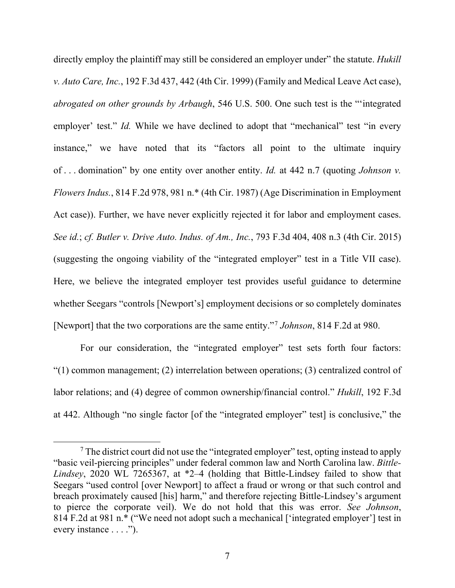directly employ the plaintiff may still be considered an employer under" the statute. *Hukill v. Auto Care, Inc.*, 192 F.3d 437, 442 (4th Cir. 1999) (Family and Medical Leave Act case), *abrogated on other grounds by Arbaugh*, 546 U.S. 500. One such test is the "'integrated employer' test." *Id.* While we have declined to adopt that "mechanical" test "in every instance," we have noted that its "factors all point to the ultimate inquiry of . . . domination" by one entity over another entity. *Id.* at 442 n.7 (quoting *Johnson v. Flowers Indus.*, 814 F.2d 978, 981 n.\* (4th Cir. 1987) (Age Discrimination in Employment Act case)). Further, we have never explicitly rejected it for labor and employment cases. *See id.*; *cf. Butler v. Drive Auto. Indus. of Am., Inc.*, 793 F.3d 404, 408 n.3 (4th Cir. 2015) (suggesting the ongoing viability of the "integrated employer" test in a Title VII case). Here, we believe the integrated employer test provides useful guidance to determine whether Seegars "controls [Newport's] employment decisions or so completely dominates [Newport] that the two corporations are the same entity."[7](#page-6-0) *Johnson*, 814 F.2d at 980.

For our consideration, the "integrated employer" test sets forth four factors: "(1) common management; (2) interrelation between operations; (3) centralized control of labor relations; and (4) degree of common ownership/financial control." *Hukill*, 192 F.3d at 442. Although "no single factor [of the "integrated employer" test] is conclusive," the

<span id="page-6-0"></span> $<sup>7</sup>$  The district court did not use the "integrated employer" test, opting instead to apply</sup> "basic veil-piercing principles" under federal common law and North Carolina law. *Bittle-Lindsey*, 2020 WL 7265367, at \*2–4 (holding that Bittle-Lindsey failed to show that Seegars "used control [over Newport] to affect a fraud or wrong or that such control and breach proximately caused [his] harm," and therefore rejecting Bittle-Lindsey's argument to pierce the corporate veil). We do not hold that this was error. *See Johnson*, 814 F.2d at 981 n.\* ("We need not adopt such a mechanical ['integrated employer'] test in every instance . . . .").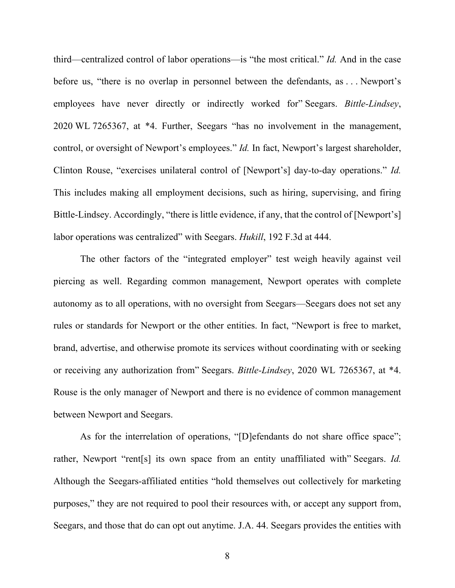third—centralized control of labor operations—is "the most critical." *Id.* And in the case before us, "there is no overlap in personnel between the defendants, as . . . Newport's employees have never directly or indirectly worked for" Seegars. *Bittle-Lindsey*, 2020 WL 7265367, at \*4. Further, Seegars "has no involvement in the management, control, or oversight of Newport's employees." *Id.* In fact, Newport's largest shareholder, Clinton Rouse, "exercises unilateral control of [Newport's] day-to-day operations." *Id.* This includes making all employment decisions, such as hiring, supervising, and firing Bittle-Lindsey. Accordingly, "there is little evidence, if any, that the control of [Newport's] labor operations was centralized" with Seegars. *Hukill*, 192 F.3d at 444.

The other factors of the "integrated employer" test weigh heavily against veil piercing as well. Regarding common management, Newport operates with complete autonomy as to all operations, with no oversight from Seegars—Seegars does not set any rules or standards for Newport or the other entities. In fact, "Newport is free to market, brand, advertise, and otherwise promote its services without coordinating with or seeking or receiving any authorization from" Seegars. *Bittle-Lindsey*, 2020 WL 7265367, at \*4. Rouse is the only manager of Newport and there is no evidence of common management between Newport and Seegars.

As for the interrelation of operations, "[D]efendants do not share office space"; rather, Newport "rent[s] its own space from an entity unaffiliated with" Seegars. *Id.*  Although the Seegars-affiliated entities "hold themselves out collectively for marketing purposes," they are not required to pool their resources with, or accept any support from, Seegars, and those that do can opt out anytime. J.A. 44. Seegars provides the entities with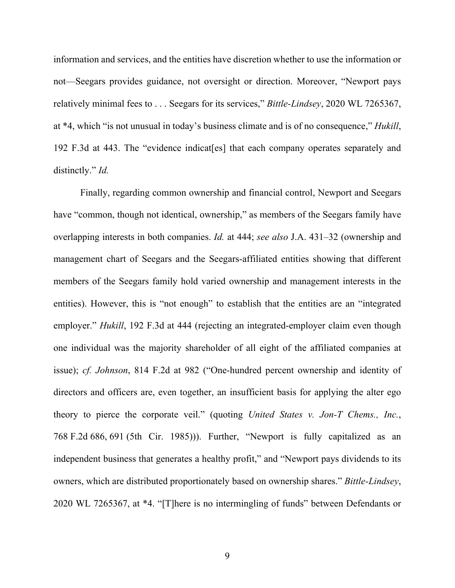information and services, and the entities have discretion whether to use the information or not—Seegars provides guidance, not oversight or direction. Moreover, "Newport pays relatively minimal fees to . . . Seegars for its services," *Bittle-Lindsey*, 2020 WL 7265367, at \*4, which "is not unusual in today's business climate and is of no consequence," *Hukill*, 192 F.3d at 443. The "evidence indicat[es] that each company operates separately and distinctly." *Id.*

Finally, regarding common ownership and financial control, Newport and Seegars have "common, though not identical, ownership," as members of the Seegars family have overlapping interests in both companies. *Id.* at 444; *see also* J.A. 431–32 (ownership and management chart of Seegars and the Seegars-affiliated entities showing that different members of the Seegars family hold varied ownership and management interests in the entities). However, this is "not enough" to establish that the entities are an "integrated employer." *Hukill*, 192 F.3d at 444 (rejecting an integrated-employer claim even though one individual was the majority shareholder of all eight of the affiliated companies at issue); *cf. Johnson*, 814 F.2d at 982 ("One-hundred percent ownership and identity of directors and officers are, even together, an insufficient basis for applying the alter ego theory to pierce the corporate veil." (quoting *United States v. Jon-T Chems., Inc.*, 768 F.2d 686, 691 (5th Cir. 1985))). Further, "Newport is fully capitalized as an independent business that generates a healthy profit," and "Newport pays dividends to its owners, which are distributed proportionately based on ownership shares." *Bittle-Lindsey*, 2020 WL 7265367, at \*4. "[T]here is no intermingling of funds" between Defendants or